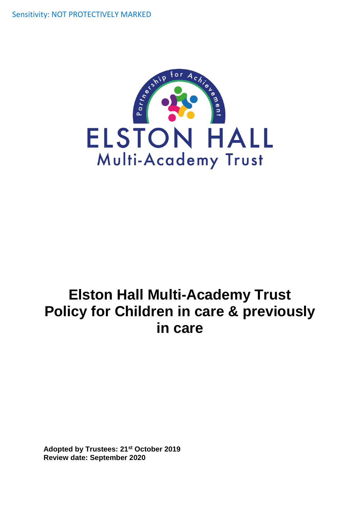Sensitivity: NOT PROTECTIVELY MARKED



# **Elston Hall Multi-Academy Trust Policy for Children in care & previously in care**

**Adopted by Trustees: 21st October 2019 Review date: September 2020**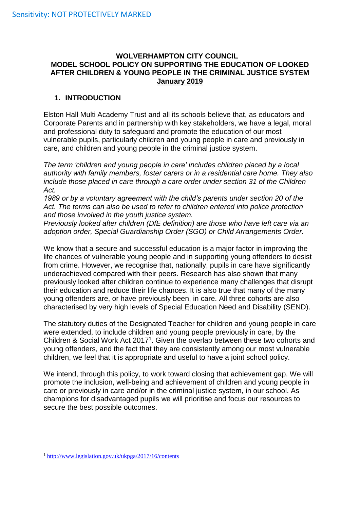#### **WOLVERHAMPTON CITY COUNCIL MODEL SCHOOL POLICY ON SUPPORTING THE EDUCATION OF LOOKED AFTER CHILDREN & YOUNG PEOPLE IN THE CRIMINAL JUSTICE SYSTEM January 2019**

#### **1. INTRODUCTION**

Elston Hall Multi Academy Trust and all its schools believe that, as educators and Corporate Parents and in partnership with key stakeholders, we have a legal, moral and professional duty to safeguard and promote the education of our most vulnerable pupils, particularly children and young people in care and previously in care, and children and young people in the criminal justice system.

*The term 'children and young people in care' includes children placed by a local authority with family members, foster carers or in a residential care home. They also include those placed in care through a care order under section 31 of the Children Act.*

*1989 or by a voluntary agreement with the child's parents under section 20 of the Act. The terms can also be used to refer to children entered into police protection and those involved in the youth justice system.*

*Previously looked after children (DfE definition) are those who have left care via an adoption order, Special Guardianship Order (SGO) or Child Arrangements Order.*

We know that a secure and successful education is a major factor in improving the life chances of vulnerable young people and in supporting young offenders to desist from crime. However, we recognise that, nationally, pupils in care have significantly underachieved compared with their peers. Research has also shown that many previously looked after children continue to experience many challenges that disrupt their education and reduce their life chances. It is also true that many of the many young offenders are, or have previously been, in care. All three cohorts are also characterised by very high levels of Special Education Need and Disability (SEND).

The statutory duties of the Designated Teacher for children and young people in care were extended, to include children and young people previously in care, by the Children & Social Work Act  $2017<sup>1</sup>$ . Given the overlap between these two cohorts and young offenders, and the fact that they are consistently among our most vulnerable children, we feel that it is appropriate and useful to have a joint school policy.

We intend, through this policy, to work toward closing that achievement gap. We will promote the inclusion, well-being and achievement of children and young people in care or previously in care and/or in the criminal justice system, in our school. As champions for disadvantaged pupils we will prioritise and focus our resources to secure the best possible outcomes.

1

<sup>1</sup> <http://www.legislation.gov.uk/ukpga/2017/16/contents>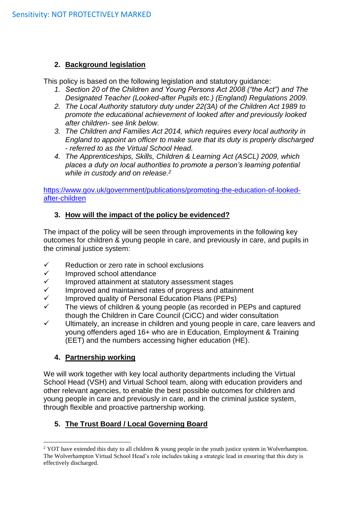#### **2. Background legislation**

This policy is based on the following legislation and statutory guidance:

- *1. Section 20 of the Children and Young Persons Act 2008 ("the Act") and The Designated Teacher (Looked-after Pupils etc.) (England) Regulations 2009.*
- *2. The Local Authority statutory duty under 22(3A) of the Children Act 1989 to promote the educational achievement of looked after and previously looked after children- see link below.*
- *3. The Children and Families Act 2014, which requires every local authority in England to appoint an officer to make sure that its duty is properly discharged - referred to as the Virtual School Head.*
- *4. The Apprenticeships, Skills, Children & Learning Act (ASCL) 2009, which places a duty on local authorities to promote a person's learning potential while in custody and on release.<sup>2</sup>*

[https://www.gov.uk/government/publications/promoting-the-education-of-looked](https://www.gov.uk/government/publications/promoting-the-education-of-looked-after-children)[after-children](https://www.gov.uk/government/publications/promoting-the-education-of-looked-after-children)

## **3. How will the impact of the policy be evidenced?**

The impact of the policy will be seen through improvements in the following key outcomes for children & young people in care, and previously in care, and pupils in the criminal justice system:

- $\checkmark$  Reduction or zero rate in school exclusions
- $\checkmark$  Improved school attendance<br> $\checkmark$  Improved attainment at statut
- $\checkmark$  Improved attainment at statutory assessment stages<br> $\checkmark$  Improved and maintained rates of progress and attain
- $\checkmark$  Improved and maintained rates of progress and attainment  $\checkmark$  Improved quality of Personal Education Plans (PEPs)
- Improved quality of Personal Education Plans (PEPs)
- $\checkmark$  The views of children & young people (as recorded in PEPs and captured though the Children in Care Council (CiCC) and wider consultation
- $\checkmark$  Ultimately, an increase in children and young people in care, care leavers and young offenders aged 16+ who are in Education, Employment & Training (EET) and the numbers accessing higher education (HE).

## **4. Partnership working**

We will work together with key local authority departments including the Virtual School Head (VSH) and Virtual School team, along with education providers and other relevant agencies, to enable the best possible outcomes for children and young people in care and previously in care, and in the criminal justice system, through flexible and proactive partnership working.

# **5. The Trust Board / Local Governing Board**

<sup>1</sup> <sup>2</sup> YOT have extended this duty to all children & young people in the youth justice system in Wolverhampton. The Wolverhampton Virtual School Head's role includes taking a strategic lead in ensuring that this duty is effectively discharged.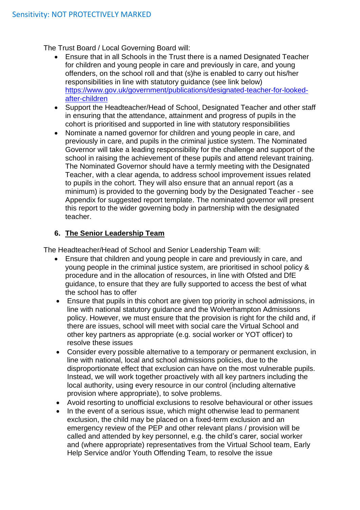The Trust Board / Local Governing Board will:

- Ensure that in all Schools in the Trust there is a named Designated Teacher for children and young people in care and previously in care, and young offenders, on the school roll and that (s)he is enabled to carry out his/her responsibilities in line with statutory guidance (see link below) [https://www.gov.uk/government/publications/designated-teacher-for-looked](https://www.gov.uk/government/publications/designated-teacher-for-looked-after-children)[after-children](https://www.gov.uk/government/publications/designated-teacher-for-looked-after-children)
- Support the Headteacher/Head of School, Designated Teacher and other staff in ensuring that the attendance, attainment and progress of pupils in the cohort is prioritised and supported in line with statutory responsibilities
- Nominate a named governor for children and young people in care, and previously in care, and pupils in the criminal justice system. The Nominated Governor will take a leading responsibility for the challenge and support of the school in raising the achievement of these pupils and attend relevant training. The Nominated Governor should have a termly meeting with the Designated Teacher, with a clear agenda, to address school improvement issues related to pupils in the cohort. They will also ensure that an annual report (as a minimum) is provided to the governing body by the Designated Teacher - see Appendix for suggested report template. The nominated governor will present this report to the wider governing body in partnership with the designated teacher.

## **6. The Senior Leadership Team**

The Headteacher/Head of School and Senior Leadership Team will:

- Ensure that children and young people in care and previously in care, and young people in the criminal justice system, are prioritised in school policy & procedure and in the allocation of resources, in line with Ofsted and DfE guidance, to ensure that they are fully supported to access the best of what the school has to offer
- Ensure that pupils in this cohort are given top priority in school admissions, in line with national statutory guidance and the Wolverhampton Admissions policy. However, we must ensure that the provision is right for the child and, if there are issues, school will meet with social care the Virtual School and other key partners as appropriate (e.g. social worker or YOT officer) to resolve these issues
- Consider every possible alternative to a temporary or permanent exclusion, in line with national, local and school admissions policies, due to the disproportionate effect that exclusion can have on the most vulnerable pupils. Instead, we will work together proactively with all key partners including the local authority, using every resource in our control (including alternative provision where appropriate), to solve problems.
- Avoid resorting to unofficial exclusions to resolve behavioural or other issues
- In the event of a serious issue, which might otherwise lead to permanent exclusion, the child may be placed on a fixed-term exclusion and an emergency review of the PEP and other relevant plans / provision will be called and attended by key personnel, e.g. the child's carer, social worker and (where appropriate) representatives from the Virtual School team, Early Help Service and/or Youth Offending Team, to resolve the issue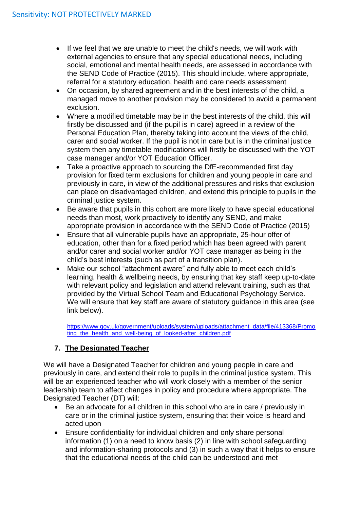- If we feel that we are unable to meet the child's needs, we will work with external agencies to ensure that any special educational needs, including social, emotional and mental health needs, are assessed in accordance with the SEND Code of Practice (2015). This should include, where appropriate, referral for a statutory education, health and care needs assessment
- On occasion, by shared agreement and in the best interests of the child, a managed move to another provision may be considered to avoid a permanent exclusion.
- Where a modified timetable may be in the best interests of the child, this will firstly be discussed and (if the pupil is in care) agreed in a review of the Personal Education Plan, thereby taking into account the views of the child, carer and social worker. If the pupil is not in care but is in the criminal justice system then any timetable modifications will firstly be discussed with the YOT case manager and/or YOT Education Officer.
- Take a proactive approach to sourcing the DfE-recommended first day provision for fixed term exclusions for children and young people in care and previously in care, in view of the additional pressures and risks that exclusion can place on disadvantaged children, and extend this principle to pupils in the criminal justice system.
- Be aware that pupils in this cohort are more likely to have special educational needs than most, work proactively to identify any SEND, and make appropriate provision in accordance with the SEND Code of Practice (2015)
- Ensure that all vulnerable pupils have an appropriate, 25-hour offer of education, other than for a fixed period which has been agreed with parent and/or carer and social worker and/or YOT case manager as being in the child's best interests (such as part of a transition plan).
- Make our school "attachment aware" and fully able to meet each child's learning, health & wellbeing needs, by ensuring that key staff keep up-to-date with relevant policy and legislation and attend relevant training, such as that provided by the Virtual School Team and Educational Psychology Service. We will ensure that key staff are aware of statutory guidance in this area (see link below).

[https://www.gov.uk/government/uploads/system/uploads/attachment\\_data/file/413368/Promo](https://www.gov.uk/government/uploads/system/uploads/attachment_data/file/413368/Promoting_the_health_and_well-being_of_looked-after_children.pdf) ting the health and well-being of looked-after children.pdf

# **7. The Designated Teacher**

We will have a Designated Teacher for children and young people in care and previously in care, and extend their role to pupils in the criminal justice system. This will be an experienced teacher who will work closely with a member of the senior leadership team to affect changes in policy and procedure where appropriate. The Designated Teacher (DT) will:

- Be an advocate for all children in this school who are in care / previously in care or in the criminal justice system, ensuring that their voice is heard and acted upon
- Ensure confidentiality for individual children and only share personal information (1) on a need to know basis (2) in line with school safeguarding and information-sharing protocols and (3) in such a way that it helps to ensure that the educational needs of the child can be understood and met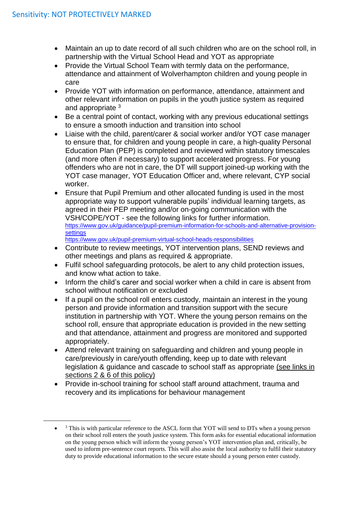1

- Maintain an up to date record of all such children who are on the school roll, in partnership with the Virtual School Head and YOT as appropriate
- Provide the Virtual School Team with termly data on the performance, attendance and attainment of Wolverhampton children and young people in care
- Provide YOT with information on performance, attendance, attainment and other relevant information on pupils in the youth justice system as required and appropriate <sup>3</sup>
- Be a central point of contact, working with any previous educational settings to ensure a smooth induction and transition into school
- Liaise with the child, parent/carer & social worker and/or YOT case manager to ensure that, for children and young people in care, a high-quality Personal Education Plan (PEP) is completed and reviewed within statutory timescales (and more often if necessary) to support accelerated progress. For young offenders who are not in care, the DT will support joined-up working with the YOT case manager, YOT Education Officer and, where relevant, CYP social worker.
- Ensure that Pupil Premium and other allocated funding is used in the most appropriate way to support vulnerable pupils' individual learning targets, as agreed in their PEP meeting and/or on-going communication with the VSH/COPE/YOT - see the following links for further information. [https://www.gov.uk/guidance/pupil-premium-information-for-schools-and-alternative-provision](https://www.gov.uk/guidance/pupil-premium-information-for-schools-and-alternative-provision-settings)[settings](https://www.gov.uk/guidance/pupil-premium-information-for-schools-and-alternative-provision-settings)

<https://www.gov.uk/pupil-premium-virtual-school-heads-responsibilities>

- Contribute to review meetings, YOT intervention plans, SEND reviews and other meetings and plans as required & appropriate.
- Fulfil school safeguarding protocols, be alert to any child protection issues, and know what action to take.
- Inform the child's carer and social worker when a child in care is absent from school without notification or excluded
- If a pupil on the school roll enters custody, maintain an interest in the young person and provide information and transition support with the secure institution in partnership with YOT. Where the young person remains on the school roll, ensure that appropriate education is provided in the new setting and that attendance, attainment and progress are monitored and supported appropriately.
- Attend relevant training on safeguarding and children and young people in care/previously in care/youth offending, keep up to date with relevant legislation & guidance and cascade to school staff as appropriate (see links in sections 2 & 6 of this policy)
- Provide in-school training for school staff around attachment, trauma and recovery and its implications for behaviour management

 $\bullet$ <sup>3</sup> This is with particular reference to the ASCL form that YOT will send to DTs when a young person on their school roll enters the youth justice system. This form asks for essential educational information on the young person which will inform the young person's YOT intervention plan and, critically, be used to inform pre-sentence court reports. This will also assist the local authority to fulfil their statutory duty to provide educational information to the secure estate should a young person enter custody.